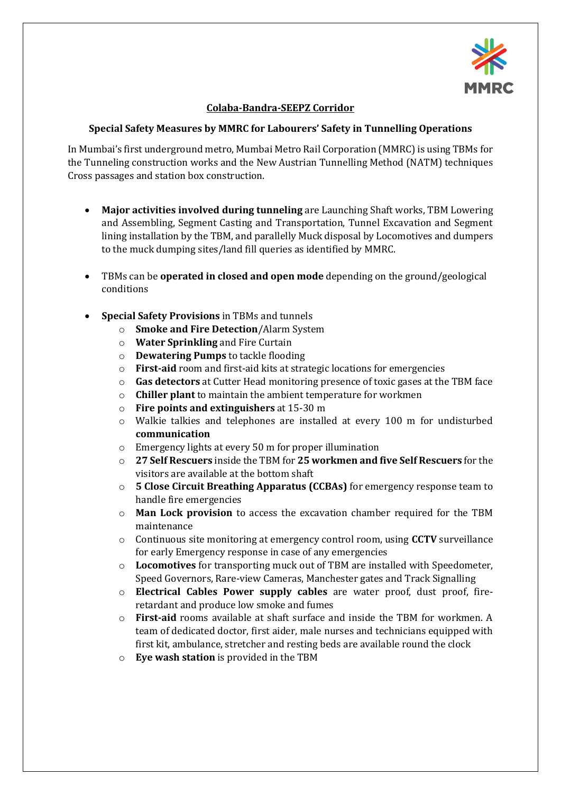

## **Colaba-Bandra-SEEPZ Corridor**

## **Special Safety Measures by MMRC for Labourers' Safety in Tunnelling Operations**

In Mumbai's first underground metro, Mumbai Metro Rail Corporation (MMRC) is using TBMs for the Tunneling construction works and the New Austrian Tunnelling Method (NATM) techniques Cross passages and station box construction.

- **Major activities involved during tunneling** are Launching Shaft works, TBM Lowering and Assembling, Segment Casting and Transportation, Tunnel Excavation and Segment lining installation by the TBM, and parallelly Muck disposal by Locomotives and dumpers to the muck dumping sites/land fill queries as identified by MMRC.
- TBMs can be **operated in closed and open mode** depending on the ground/geological conditions
- **Special Safety Provisions** in TBMs and tunnels
	- o **Smoke and Fire Detection**/Alarm System
	- o **Water Sprinkling** and Fire Curtain
	- o **Dewatering Pumps** to tackle flooding
	- o **First-aid** room and first-aid kits at strategic locations for emergencies
	- o **Gas detectors** at Cutter Head monitoring presence of toxic gases at the TBM face
	- o **Chiller plant** to maintain the ambient temperature for workmen
	- o **Fire points and extinguishers** at 15-30 m
	- o Walkie talkies and telephones are installed at every 100 m for undisturbed **communication**
	- o Emergency lights at every 50 m for proper illumination
	- o **27 Self Rescuers** inside the TBM for **25 workmen and five Self Rescuers** for the visitors are available at the bottom shaft
	- o **5 Close Circuit Breathing Apparatus (CCBAs)** for emergency response team to handle fire emergencies
	- o **Man Lock provision** to access the excavation chamber required for the TBM maintenance
	- o Continuous site monitoring at emergency control room, using **CCTV** surveillance for early Emergency response in case of any emergencies
	- o **Locomotives** for transporting muck out of TBM are installed with Speedometer, Speed Governors, Rare-view Cameras, Manchester gates and Track Signalling
	- o **Electrical Cables Power supply cables** are water proof, dust proof, fireretardant and produce low smoke and fumes
	- o **First-aid** rooms available at shaft surface and inside the TBM for workmen. A team of dedicated doctor, first aider, male nurses and technicians equipped with first kit, ambulance, stretcher and resting beds are available round the clock
	- o **Eye wash station** is provided in the TBM